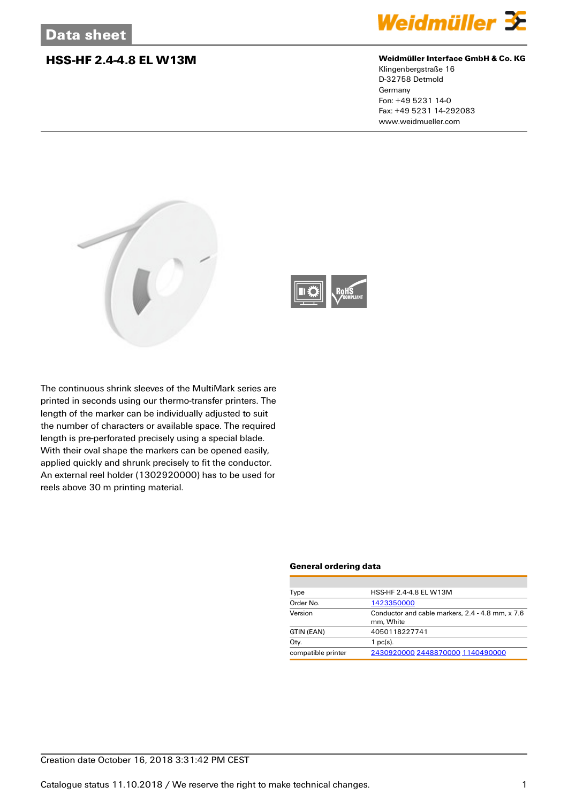### **HSS-HF 2.4-4.8 EL W13M Weidmüller Interface GmbH & Co. KG**



Klingenbergstraße 16 D-32758 Detmold Germany Fon: +49 5231 14-0 Fax: +49 5231 14-292083 www.weidmueller.com





The continuous shrink sleeves of the MultiMark series are printed in seconds using our thermo-transfer printers. The length of the marker can be individually adjusted to suit the number of characters or available space. The required length is pre-perforated precisely using a special blade. With their oval shape the markers can be opened easily, applied quickly and shrunk precisely to fit the conductor. An external reel holder (1302920000) has to be used for reels above 30 m printing material.

### **General ordering data**

| Type               | HSS-HF 2.4-4.8 EL W13M                                        |  |  |
|--------------------|---------------------------------------------------------------|--|--|
| Order No.          | 1423350000                                                    |  |  |
| Version            | Conductor and cable markers, 2.4 - 4.8 mm, x 7.6<br>mm. White |  |  |
| GTIN (EAN)         | 4050118227741                                                 |  |  |
| Qty.               | $1$ pc(s).                                                    |  |  |
| compatible printer | 2430920000 2448870000 1140490000                              |  |  |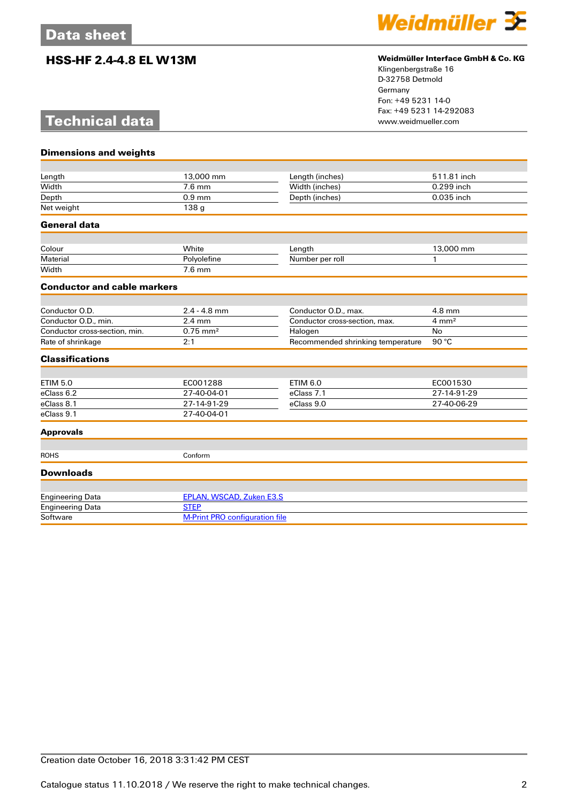## **HSS-HF 2.4-4.8 EL W13M Weidmüller Interface GmbH & Co. KG**



Klingenbergstraße 16 D-32758 Detmold Germany Fon: +49 5231 14-0 Fax: +49 5231 14-292083

# **Technical data**

| <b>Dimensions and weights</b>      |                                       |                                   |                  |  |
|------------------------------------|---------------------------------------|-----------------------------------|------------------|--|
|                                    |                                       |                                   |                  |  |
| Length                             | 13,000 mm                             | Length (inches)                   | 511.81 inch      |  |
| Width                              | $7.6$ mm                              | Width (inches)                    | 0.299 inch       |  |
| Depth                              | $0.9$ mm                              | Depth (inches)                    | 0.035 inch       |  |
| Net weight                         | 138 g                                 |                                   |                  |  |
| <b>General data</b>                |                                       |                                   |                  |  |
| Colour                             | White                                 | Length                            | 13,000 mm        |  |
| Material                           | Polyolefine                           | Number per roll                   | 1                |  |
| Width                              | 7.6 mm                                |                                   |                  |  |
| <b>Conductor and cable markers</b> |                                       |                                   |                  |  |
|                                    |                                       |                                   |                  |  |
| Conductor O.D.                     | $2.4 - 4.8$ mm                        | Conductor O.D., max.              | 4.8 mm           |  |
| Conductor O.D., min.               | $2.4 \text{ mm}$                      | Conductor cross-section, max.     | $4 \text{ mm}^2$ |  |
| Conductor cross-section, min.      | $0.75 \, \text{mm}^2$                 | Halogen                           | No               |  |
| Rate of shrinkage                  | 2:1                                   | Recommended shrinking temperature | 90 °C            |  |
| <b>Classifications</b>             |                                       |                                   |                  |  |
|                                    |                                       |                                   |                  |  |
| <b>ETIM 5.0</b>                    | EC001288                              | <b>ETIM 6.0</b>                   | EC001530         |  |
| eClass 6.2                         | 27-40-04-01                           | eClass 7.1                        | 27-14-91-29      |  |
| eClass 8.1                         | 27-14-91-29                           | eClass 9.0                        | 27-40-06-29      |  |
| eClass 9.1                         | 27-40-04-01                           |                                   |                  |  |
| <b>Approvals</b>                   |                                       |                                   |                  |  |
| <b>ROHS</b>                        | Conform                               |                                   |                  |  |
| <b>Downloads</b>                   |                                       |                                   |                  |  |
| <b>Engineering Data</b>            | EPLAN, WSCAD, Zuken E3.S              |                                   |                  |  |
| <b>Engineering Data</b>            | <b>STEP</b>                           |                                   |                  |  |
| Software                           | <b>M-Print PRO configuration file</b> |                                   |                  |  |
|                                    |                                       |                                   |                  |  |